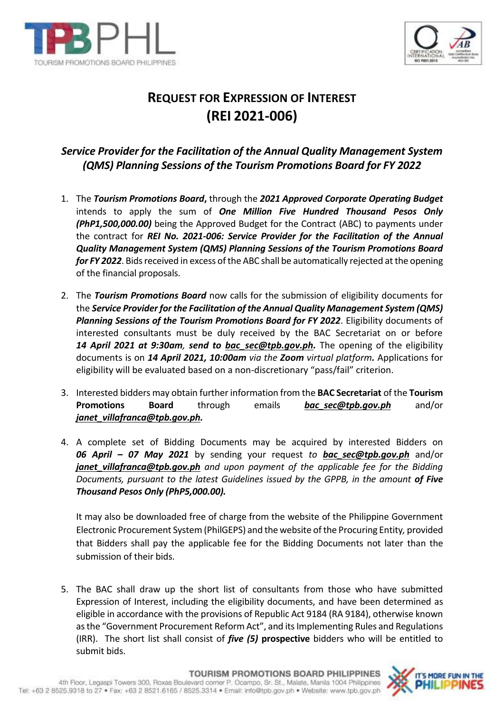



## **REQUEST FOR EXPRESSION OF INTEREST (REI 2021-006)**

## *Service Provider for the Facilitation of the Annual Quality Management System (QMS) Planning Sessions of the Tourism Promotions Board for FY 2022*

- 1. The *Tourism Promotions Board***,** through the *2021 Approved Corporate Operating Budget* intends to apply the sum of *One Million Five Hundred Thousand Pesos Only (PhP1,500,000.00)* being the Approved Budget for the Contract (ABC) to payments under the contract for *REI No. 2021-006: Service Provider for the Facilitation of the Annual Quality Management System (QMS) Planning Sessions of the Tourism Promotions Board for FY 2022*. Bids received in excess of the ABC shall be automatically rejected at the opening of the financial proposals.
- 2. The *Tourism Promotions Board* now calls for the submission of eligibility documents for the *Service Provider for the Facilitation of the Annual Quality Management System (QMS) Planning Sessions of the Tourism Promotions Board for FY 2022*. Eligibility documents of interested consultants must be duly received by the BAC Secretariat on or before *14 April 2021 at 9:30am, send to [bac\\_sec@tpb.gov.ph.](mailto:bac_sec@tpb.gov.ph)* The opening of the eligibility documents is on *14 April 2021, 10:00am via the Zoom virtual platform.* Applications for eligibility will be evaluated based on a non-discretionary "pass/fail" criterion.
- 3. Interested bidders may obtain further information from the **BAC Secretariat** of the **Tourism Promotions Board** through emails **[bac\\_sec@tpb.gov.ph](mailto:bac_sec@tpb.gov.ph)** and/or *[janet\\_villafranca@tpb.gov.ph.](mailto:janet_villafranca@tpb.gov.ph)*
- 4. A complete set of Bidding Documents may be acquired by interested Bidders on *06 April – 07 May 2021* by sending your request *to [bac\\_sec@tpb.gov.ph](mailto:bac_sec@tpb.gov.ph)* and/or *janet villafranca@tpb.gov.ph* and upon payment of the applicable fee for the Bidding *Documents, pursuant to the latest Guidelines issued by the GPPB, in the amount of Five Thousand Pesos Only (PhP5,000.00).*

It may also be downloaded free of charge from the website of the Philippine Government Electronic Procurement System (PhilGEPS) and the website of the Procuring Entity*,* provided that Bidders shall pay the applicable fee for the Bidding Documents not later than the submission of their bids.

5. The BAC shall draw up the short list of consultants from those who have submitted Expression of Interest, including the eligibility documents, and have been determined as eligible in accordance with the provisions of Republic Act 9184 (RA 9184), otherwise known as the "Government Procurement Reform Act", and its Implementing Rules and Regulations (IRR). The short list shall consist of *five (5)* **prospective** bidders who will be entitled to submit bids.

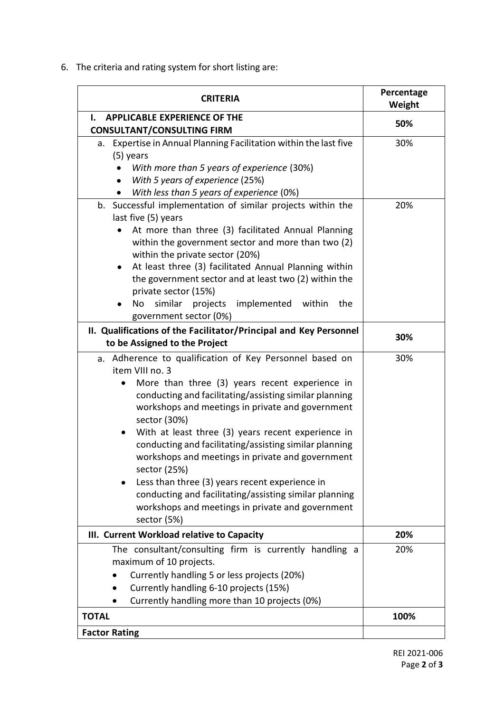6. The criteria and rating system for short listing are:

| <b>CRITERIA</b>                                                                                                                                                                                                                                                                                                                                                                                                                                                                                                                                                                                                                                 | Percentage<br>Weight |
|-------------------------------------------------------------------------------------------------------------------------------------------------------------------------------------------------------------------------------------------------------------------------------------------------------------------------------------------------------------------------------------------------------------------------------------------------------------------------------------------------------------------------------------------------------------------------------------------------------------------------------------------------|----------------------|
| ı.<br><b>APPLICABLE EXPERIENCE OF THE</b>                                                                                                                                                                                                                                                                                                                                                                                                                                                                                                                                                                                                       | 50%                  |
| <b>CONSULTANT/CONSULTING FIRM</b>                                                                                                                                                                                                                                                                                                                                                                                                                                                                                                                                                                                                               |                      |
| a. Expertise in Annual Planning Facilitation within the last five<br>(5) years<br>With more than 5 years of experience (30%)                                                                                                                                                                                                                                                                                                                                                                                                                                                                                                                    | 30%                  |
| With 5 years of experience (25%)<br>With less than 5 years of experience (0%)                                                                                                                                                                                                                                                                                                                                                                                                                                                                                                                                                                   |                      |
| b. Successful implementation of similar projects within the<br>last five (5) years                                                                                                                                                                                                                                                                                                                                                                                                                                                                                                                                                              | 20%                  |
| At more than three (3) facilitated Annual Planning<br>within the government sector and more than two (2)<br>within the private sector (20%)<br>At least three (3) facilitated Annual Planning within<br>$\bullet$<br>the government sector and at least two (2) within the<br>private sector (15%)                                                                                                                                                                                                                                                                                                                                              |                      |
| similar<br>projects<br>implemented<br>within<br>the<br>No<br>government sector (0%)                                                                                                                                                                                                                                                                                                                                                                                                                                                                                                                                                             |                      |
| II. Qualifications of the Facilitator/Principal and Key Personnel<br>to be Assigned to the Project                                                                                                                                                                                                                                                                                                                                                                                                                                                                                                                                              | 30%                  |
| a. Adherence to qualification of Key Personnel based on<br>item VIII no. 3<br>More than three (3) years recent experience in<br>٠<br>conducting and facilitating/assisting similar planning<br>workshops and meetings in private and government<br>sector (30%)<br>With at least three (3) years recent experience in<br>$\bullet$<br>conducting and facilitating/assisting similar planning<br>workshops and meetings in private and government<br>sector (25%)<br>Less than three (3) years recent experience in<br>conducting and facilitating/assisting similar planning<br>workshops and meetings in private and government<br>sector (5%) | 30%                  |
| III. Current Workload relative to Capacity                                                                                                                                                                                                                                                                                                                                                                                                                                                                                                                                                                                                      | 20%                  |
| The consultant/consulting firm is currently handling a<br>maximum of 10 projects.<br>Currently handling 5 or less projects (20%)<br>Currently handling 6-10 projects (15%)<br>Currently handling more than 10 projects (0%)                                                                                                                                                                                                                                                                                                                                                                                                                     | 20%                  |
| <b>TOTAL</b>                                                                                                                                                                                                                                                                                                                                                                                                                                                                                                                                                                                                                                    | 100%                 |
| <b>Factor Rating</b>                                                                                                                                                                                                                                                                                                                                                                                                                                                                                                                                                                                                                            |                      |